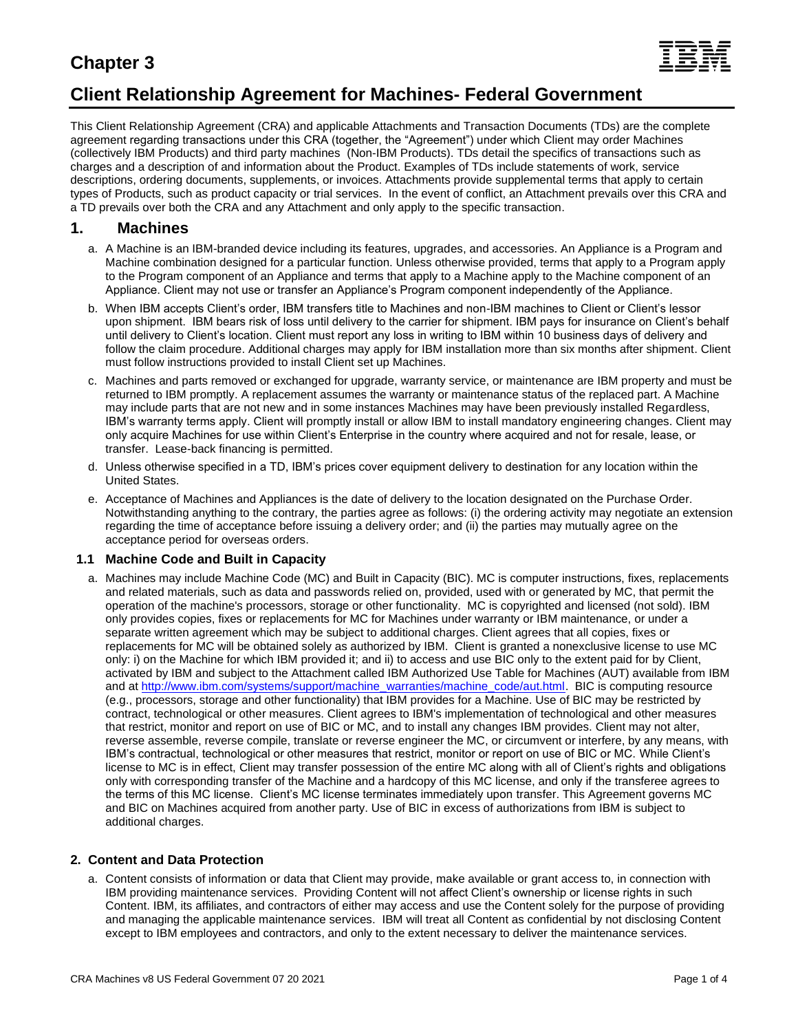# **Chapter 3**



## **Client Relationship Agreement for Machines- Federal Government**

This Client Relationship Agreement (CRA) and applicable Attachments and Transaction Documents (TDs) are the complete agreement regarding transactions under this CRA (together, the "Agreement") under which Client may order Machines (collectively IBM Products) and third party machines (Non-IBM Products). TDs detail the specifics of transactions such as charges and a description of and information about the Product. Examples of TDs include statements of work, service descriptions, ordering documents, supplements, or invoices. Attachments provide supplemental terms that apply to certain types of Products, such as product capacity or trial services. In the event of conflict, an Attachment prevails over this CRA and a TD prevails over both the CRA and any Attachment and only apply to the specific transaction.

### **1. Machines**

- a. A Machine is an IBM-branded device including its features, upgrades, and accessories. An Appliance is a Program and Machine combination designed for a particular function. Unless otherwise provided, terms that apply to a Program apply to the Program component of an Appliance and terms that apply to a Machine apply to the Machine component of an Appliance. Client may not use or transfer an Appliance's Program component independently of the Appliance.
- b. When IBM accepts Client's order, IBM transfers title to Machines and non-IBM machines to Client or Client's lessor upon shipment. IBM bears risk of loss until delivery to the carrier for shipment. IBM pays for insurance on Client's behalf until delivery to Client's location. Client must report any loss in writing to IBM within 10 business days of delivery and follow the claim procedure. Additional charges may apply for IBM installation more than six months after shipment. Client must follow instructions provided to install Client set up Machines.
- c. Machines and parts removed or exchanged for upgrade, warranty service, or maintenance are IBM property and must be returned to IBM promptly. A replacement assumes the warranty or maintenance status of the replaced part. A Machine may include parts that are not new and in some instances Machines may have been previously installed Regardless, IBM's warranty terms apply. Client will promptly install or allow IBM to install mandatory engineering changes. Client may only acquire Machines for use within Client's Enterprise in the country where acquired and not for resale, lease, or transfer. Lease-back financing is permitted.
- d. Unless otherwise specified in a TD, IBM's prices cover equipment delivery to destination for any location within the United States.
- e. Acceptance of Machines and Appliances is the date of delivery to the location designated on the Purchase Order. Notwithstanding anything to the contrary, the parties agree as follows: (i) the ordering activity may negotiate an extension regarding the time of acceptance before issuing a delivery order; and (ii) the parties may mutually agree on the acceptance period for overseas orders.

#### **1.1 Machine Code and Built in Capacity**

a. Machines may include Machine Code (MC) and Built in Capacity (BIC). MC is computer instructions, fixes, replacements and related materials, such as data and passwords relied on, provided, used with or generated by MC, that permit the operation of the machine's processors, storage or other functionality. MC is copyrighted and licensed (not sold). IBM only provides copies, fixes or replacements for MC for Machines under warranty or IBM maintenance, or under a separate written agreement which may be subject to additional charges. Client agrees that all copies, fixes or replacements for MC will be obtained solely as authorized by IBM. Client is granted a nonexclusive license to use MC only: i) on the Machine for which IBM provided it; and ii) to access and use BIC only to the extent paid for by Client, activated by IBM and subject to the Attachment called IBM Authorized Use Table for Machines (AUT) available from IBM and a[t http://www.ibm.com/systems/support/machine\\_warranties/machine\\_code/aut.html.](http://www.ibm.com/systems/support/machine_warranties/machine_code/aut.html) BIC is computing resource (e.g., processors, storage and other functionality) that IBM provides for a Machine. Use of BIC may be restricted by contract, technological or other measures. Client agrees to IBM's implementation of technological and other measures that restrict, monitor and report on use of BIC or MC, and to install any changes IBM provides. Client may not alter, reverse assemble, reverse compile, translate or reverse engineer the MC, or circumvent or interfere, by any means, with IBM's contractual, technological or other measures that restrict, monitor or report on use of BIC or MC. While Client's license to MC is in effect, Client may transfer possession of the entire MC along with all of Client's rights and obligations only with corresponding transfer of the Machine and a hardcopy of this MC license, and only if the transferee agrees to the terms of this MC license. Client's MC license terminates immediately upon transfer. This Agreement governs MC and BIC on Machines acquired from another party. Use of BIC in excess of authorizations from IBM is subject to additional charges.

#### **2. Content and Data Protection**

a. Content consists of information or data that Client may provide, make available or grant access to, in connection with IBM providing maintenance services. Providing Content will not affect Client's ownership or license rights in such Content. IBM, its affiliates, and contractors of either may access and use the Content solely for the purpose of providing and managing the applicable maintenance services. IBM will treat all Content as confidential by not disclosing Content except to IBM employees and contractors, and only to the extent necessary to deliver the maintenance services.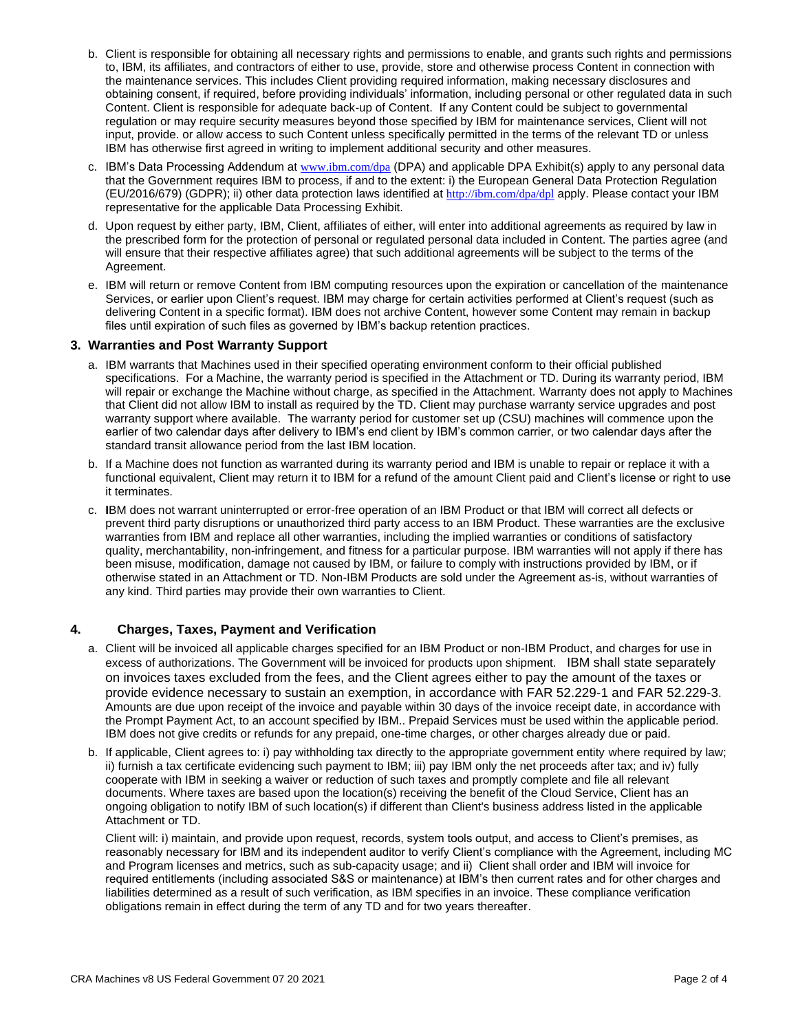- b. Client is responsible for obtaining all necessary rights and permissions to enable, and grants such rights and permissions to, IBM, its affiliates, and contractors of either to use, provide, store and otherwise process Content in connection with the maintenance services. This includes Client providing required information, making necessary disclosures and obtaining consent, if required, before providing individuals' information, including personal or other regulated data in such Content. Client is responsible for adequate back-up of Content. If any Content could be subject to governmental regulation or may require security measures beyond those specified by IBM for maintenance services, Client will not input, provide. or allow access to such Content unless specifically permitted in the terms of the relevant TD or unless IBM has otherwise first agreed in writing to implement additional security and other measures.
- c. IBM's Data Processing Addendum at [www.ibm.com/dpa](http://www.ibm.com/dpa) (DPA) and applicable DPA Exhibit(s) apply to any personal data that the Government requires IBM to process, if and to the extent: i) the European General Data Protection Regulation (EU/2016/679) (GDPR); ii) other data protection laws identified at <http://ibm.com/dpa/dpl> apply. Please contact your IBM representative for the applicable Data Processing Exhibit.
- d. Upon request by either party, IBM, Client, affiliates of either, will enter into additional agreements as required by law in the prescribed form for the protection of personal or regulated personal data included in Content. The parties agree (and will ensure that their respective affiliates agree) that such additional agreements will be subject to the terms of the Agreement.
- e. IBM will return or remove Content from IBM computing resources upon the expiration or cancellation of the maintenance Services, or earlier upon Client's request. IBM may charge for certain activities performed at Client's request (such as delivering Content in a specific format). IBM does not archive Content, however some Content may remain in backup files until expiration of such files as governed by IBM's backup retention practices.

#### **3. Warranties and Post Warranty Support**

- a. IBM warrants that Machines used in their specified operating environment conform to their official published specifications. For a Machine, the warranty period is specified in the Attachment or TD. During its warranty period, IBM will repair or exchange the Machine without charge, as specified in the Attachment. Warranty does not apply to Machines that Client did not allow IBM to install as required by the TD. Client may purchase warranty service upgrades and post warranty support where available. The warranty period for customer set up (CSU) machines will commence upon the earlier of two calendar days after delivery to IBM's end client by IBM's common carrier, or two calendar days after the standard transit allowance period from the last IBM location.
- b. If a Machine does not function as warranted during its warranty period and IBM is unable to repair or replace it with a functional equivalent, Client may return it to IBM for a refund of the amount Client paid and Client's license or right to use it terminates.
- c. **I**BM does not warrant uninterrupted or error-free operation of an IBM Product or that IBM will correct all defects or prevent third party disruptions or unauthorized third party access to an IBM Product. These warranties are the exclusive warranties from IBM and replace all other warranties, including the implied warranties or conditions of satisfactory quality, merchantability, non-infringement, and fitness for a particular purpose. IBM warranties will not apply if there has been misuse, modification, damage not caused by IBM, or failure to comply with instructions provided by IBM, or if otherwise stated in an Attachment or TD. Non-IBM Products are sold under the Agreement as-is, without warranties of any kind. Third parties may provide their own warranties to Client.

#### **4. Charges, Taxes, Payment and Verification**

- a. Client will be invoiced all applicable charges specified for an IBM Product or non-IBM Product, and charges for use in excess of authorizations. The Government will be invoiced for products upon shipment. IBM shall state separately on invoices taxes excluded from the fees, and the Client agrees either to pay the amount of the taxes or provide evidence necessary to sustain an exemption, in accordance with FAR 52.229-1 and FAR 52.229-3. Amounts are due upon receipt of the invoice and payable within 30 days of the invoice receipt date, in accordance with the Prompt Payment Act, to an account specified by IBM.. Prepaid Services must be used within the applicable period. IBM does not give credits or refunds for any prepaid, one-time charges, or other charges already due or paid.
- b. If applicable, Client agrees to: i) pay withholding tax directly to the appropriate government entity where required by law; ii) furnish a tax certificate evidencing such payment to IBM; iii) pay IBM only the net proceeds after tax; and iv) fully cooperate with IBM in seeking a waiver or reduction of such taxes and promptly complete and file all relevant documents. Where taxes are based upon the location(s) receiving the benefit of the Cloud Service, Client has an ongoing obligation to notify IBM of such location(s) if different than Client's business address listed in the applicable Attachment or TD.

Client will: i) maintain, and provide upon request, records, system tools output, and access to Client's premises, as reasonably necessary for IBM and its independent auditor to verify Client's compliance with the Agreement, including MC and Program licenses and metrics, such as sub-capacity usage; and ii) Client shall order and IBM will invoice for required entitlements (including associated S&S or maintenance) at IBM's then current rates and for other charges and liabilities determined as a result of such verification, as IBM specifies in an invoice. These compliance verification obligations remain in effect during the term of any TD and for two years thereafter.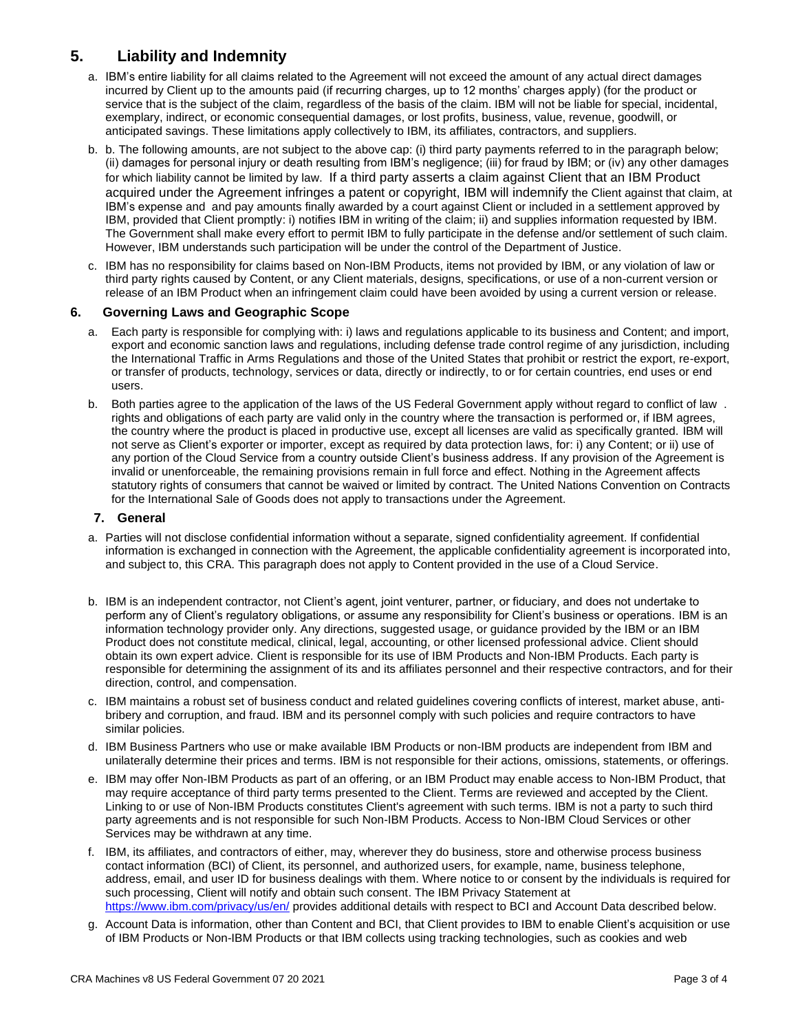### **5. Liability and Indemnity**

- a. IBM's entire liability for all claims related to the Agreement will not exceed the amount of any actual direct damages incurred by Client up to the amounts paid (if recurring charges, up to 12 months' charges apply) (for the product or service that is the subject of the claim, regardless of the basis of the claim. IBM will not be liable for special, incidental, exemplary, indirect, or economic consequential damages, or lost profits, business, value, revenue, goodwill, or anticipated savings. These limitations apply collectively to IBM, its affiliates, contractors, and suppliers.
- b. b. The following amounts, are not subject to the above cap: (i) third party payments referred to in the paragraph below; (ii) damages for personal injury or death resulting from IBM's negligence; (iii) for fraud by IBM; or (iv) any other damages for which liability cannot be limited by law. If a third party asserts a claim against Client that an IBM Product acquired under the Agreement infringes a patent or copyright, IBM will indemnify the Client against that claim, at IBM's expense and and pay amounts finally awarded by a court against Client or included in a settlement approved by IBM, provided that Client promptly: i) notifies IBM in writing of the claim; ii) and supplies information requested by IBM. The Government shall make every effort to permit IBM to fully participate in the defense and/or settlement of such claim. However, IBM understands such participation will be under the control of the Department of Justice.
- c. IBM has no responsibility for claims based on Non-IBM Products, items not provided by IBM, or any violation of law or third party rights caused by Content, or any Client materials, designs, specifications, or use of a non-current version or release of an IBM Product when an infringement claim could have been avoided by using a current version or release.

#### **6. Governing Laws and Geographic Scope**

- a. Each party is responsible for complying with: i) laws and regulations applicable to its business and Content; and import, export and economic sanction laws and regulations, including defense trade control regime of any jurisdiction, including the International Traffic in Arms Regulations and those of the United States that prohibit or restrict the export, re-export, or transfer of products, technology, services or data, directly or indirectly, to or for certain countries, end uses or end users.
- b. Both parties agree to the application of the laws of the US Federal Government apply without regard to conflict of law . rights and obligations of each party are valid only in the country where the transaction is performed or, if IBM agrees, the country where the product is placed in productive use, except all licenses are valid as specifically granted. IBM will not serve as Client's exporter or importer, except as required by data protection laws, for: i) any Content; or ii) use of any portion of the Cloud Service from a country outside Client's business address. If any provision of the Agreement is invalid or unenforceable, the remaining provisions remain in full force and effect. Nothing in the Agreement affects statutory rights of consumers that cannot be waived or limited by contract. The United Nations Convention on Contracts for the International Sale of Goods does not apply to transactions under the Agreement.

#### **7. General**

- a. Parties will not disclose confidential information without a separate, signed confidentiality agreement. If confidential information is exchanged in connection with the Agreement, the applicable confidentiality agreement is incorporated into, and subject to, this CRA. This paragraph does not apply to Content provided in the use of a Cloud Service.
- b. IBM is an independent contractor, not Client's agent, joint venturer, partner, or fiduciary, and does not undertake to perform any of Client's regulatory obligations, or assume any responsibility for Client's business or operations. IBM is an information technology provider only. Any directions, suggested usage, or guidance provided by the IBM or an IBM Product does not constitute medical, clinical, legal, accounting, or other licensed professional advice. Client should obtain its own expert advice. Client is responsible for its use of IBM Products and Non-IBM Products. Each party is responsible for determining the assignment of its and its affiliates personnel and their respective contractors, and for their direction, control, and compensation.
- c. IBM maintains a robust set of business conduct and related guidelines covering conflicts of interest, market abuse, antibribery and corruption, and fraud. IBM and its personnel comply with such policies and require contractors to have similar policies.
- d. IBM Business Partners who use or make available IBM Products or non-IBM products are independent from IBM and unilaterally determine their prices and terms. IBM is not responsible for their actions, omissions, statements, or offerings.
- e. IBM may offer Non-IBM Products as part of an offering, or an IBM Product may enable access to Non-IBM Product, that may require acceptance of third party terms presented to the Client. Terms are reviewed and accepted by the Client. Linking to or use of Non-IBM Products constitutes Client's agreement with such terms. IBM is not a party to such third party agreements and is not responsible for such Non-IBM Products. Access to Non-IBM Cloud Services or other Services may be withdrawn at any time.
- f. IBM, its affiliates, and contractors of either, may, wherever they do business, store and otherwise process business contact information (BCI) of Client, its personnel, and authorized users, for example, name, business telephone, address, email, and user ID for business dealings with them. Where notice to or consent by the individuals is required for such processing, Client will notify and obtain such consent. The IBM Privacy Statement at <https://www.ibm.com/privacy/us/en/> provides additional details with respect to BCI and Account Data described below.
- g. Account Data is information, other than Content and BCI, that Client provides to IBM to enable Client's acquisition or use of IBM Products or Non-IBM Products or that IBM collects using tracking technologies, such as cookies and web